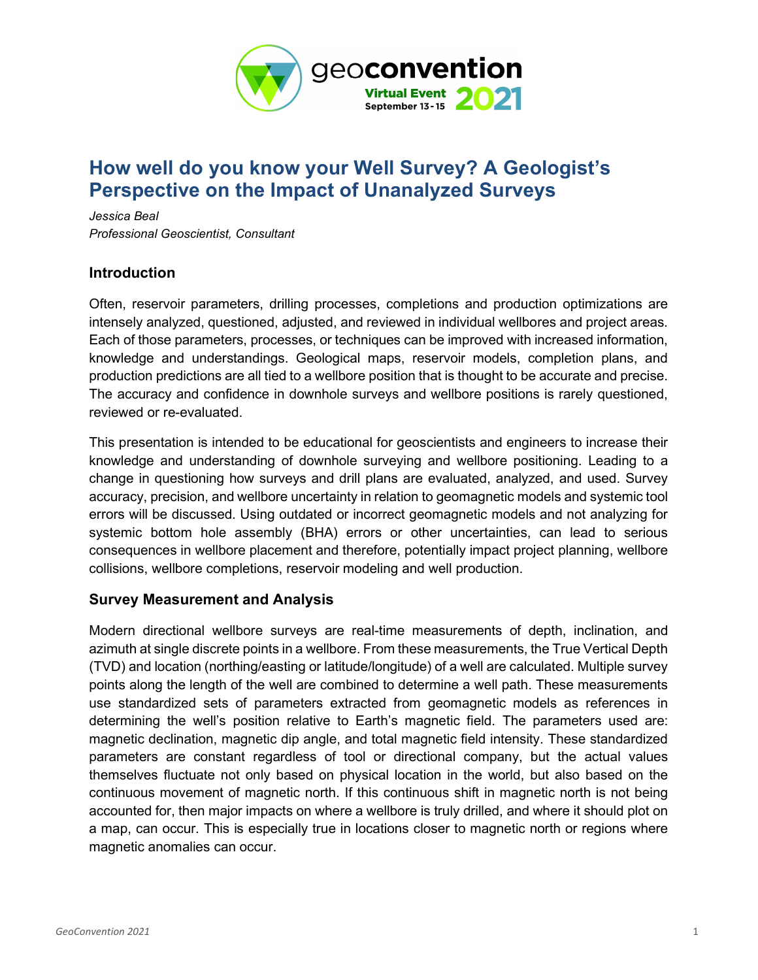

# How well do you know your Well Survey? A Geologist's Perspective on the Impact of Unanalyzed Surveys

Jessica Beal Professional Geoscientist, Consultant

#### Introduction

Often, reservoir parameters, drilling processes, completions and production optimizations are intensely analyzed, questioned, adjusted, and reviewed in individual wellbores and project areas. Each of those parameters, processes, or techniques can be improved with increased information, knowledge and understandings. Geological maps, reservoir models, completion plans, and production predictions are all tied to a wellbore position that is thought to be accurate and precise. The accuracy and confidence in downhole surveys and wellbore positions is rarely questioned, reviewed or re-evaluated.

This presentation is intended to be educational for geoscientists and engineers to increase their knowledge and understanding of downhole surveying and wellbore positioning. Leading to a change in questioning how surveys and drill plans are evaluated, analyzed, and used. Survey accuracy, precision, and wellbore uncertainty in relation to geomagnetic models and systemic tool errors will be discussed. Using outdated or incorrect geomagnetic models and not analyzing for systemic bottom hole assembly (BHA) errors or other uncertainties, can lead to serious consequences in wellbore placement and therefore, potentially impact project planning, wellbore collisions, wellbore completions, reservoir modeling and well production.

#### Survey Measurement and Analysis

Modern directional wellbore surveys are real-time measurements of depth, inclination, and azimuth at single discrete points in a wellbore. From these measurements, the True Vertical Depth (TVD) and location (northing/easting or latitude/longitude) of a well are calculated. Multiple survey points along the length of the well are combined to determine a well path. These measurements use standardized sets of parameters extracted from geomagnetic models as references in determining the well's position relative to Earth's magnetic field. The parameters used are: magnetic declination, magnetic dip angle, and total magnetic field intensity. These standardized parameters are constant regardless of tool or directional company, but the actual values themselves fluctuate not only based on physical location in the world, but also based on the continuous movement of magnetic north. If this continuous shift in magnetic north is not being accounted for, then major impacts on where a wellbore is truly drilled, and where it should plot on a map, can occur. This is especially true in locations closer to magnetic north or regions where magnetic anomalies can occur.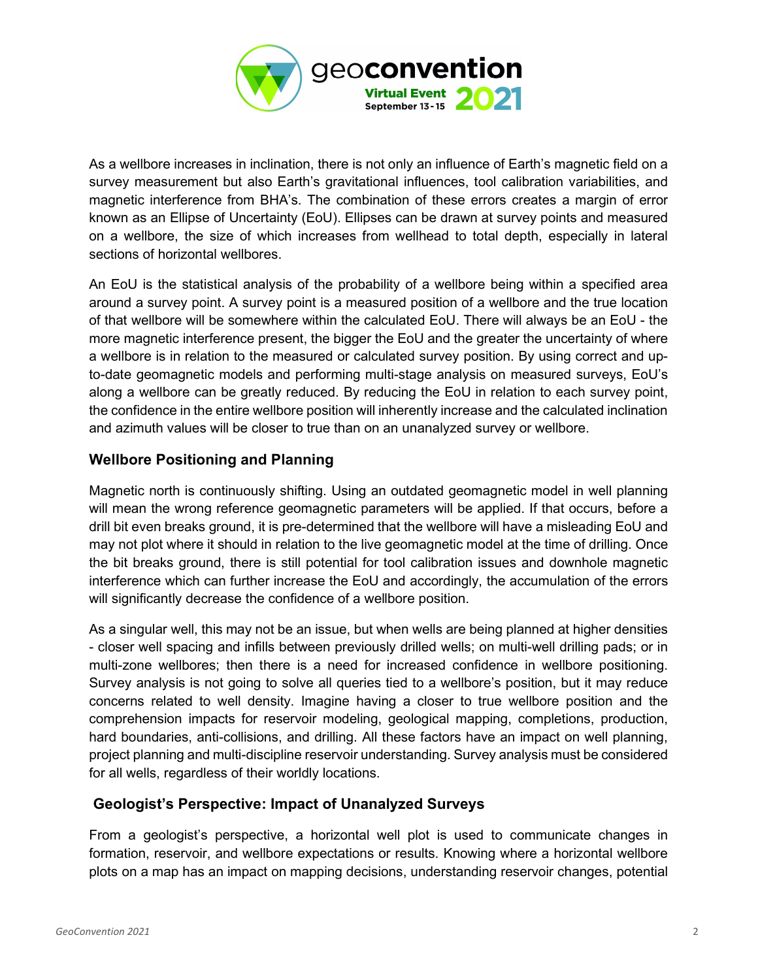

As a wellbore increases in inclination, there is not only an influence of Earth's magnetic field on a survey measurement but also Earth's gravitational influences, tool calibration variabilities, and magnetic interference from BHA's. The combination of these errors creates a margin of error known as an Ellipse of Uncertainty (EoU). Ellipses can be drawn at survey points and measured on a wellbore, the size of which increases from wellhead to total depth, especially in lateral sections of horizontal wellbores.

An EoU is the statistical analysis of the probability of a wellbore being within a specified area around a survey point. A survey point is a measured position of a wellbore and the true location of that wellbore will be somewhere within the calculated EoU. There will always be an EoU - the more magnetic interference present, the bigger the EoU and the greater the uncertainty of where a wellbore is in relation to the measured or calculated survey position. By using correct and upto-date geomagnetic models and performing multi-stage analysis on measured surveys, EoU's along a wellbore can be greatly reduced. By reducing the EoU in relation to each survey point, the confidence in the entire wellbore position will inherently increase and the calculated inclination and azimuth values will be closer to true than on an unanalyzed survey or wellbore.

## Wellbore Positioning and Planning

Magnetic north is continuously shifting. Using an outdated geomagnetic model in well planning will mean the wrong reference geomagnetic parameters will be applied. If that occurs, before a drill bit even breaks ground, it is pre-determined that the wellbore will have a misleading EoU and may not plot where it should in relation to the live geomagnetic model at the time of drilling. Once the bit breaks ground, there is still potential for tool calibration issues and downhole magnetic interference which can further increase the EoU and accordingly, the accumulation of the errors will significantly decrease the confidence of a wellbore position.

As a singular well, this may not be an issue, but when wells are being planned at higher densities - closer well spacing and infills between previously drilled wells; on multi-well drilling pads; or in multi-zone wellbores; then there is a need for increased confidence in wellbore positioning. Survey analysis is not going to solve all queries tied to a wellbore's position, but it may reduce concerns related to well density. Imagine having a closer to true wellbore position and the comprehension impacts for reservoir modeling, geological mapping, completions, production, hard boundaries, anti-collisions, and drilling. All these factors have an impact on well planning, project planning and multi-discipline reservoir understanding. Survey analysis must be considered for all wells, regardless of their worldly locations.

### Geologist's Perspective: Impact of Unanalyzed Surveys

From a geologist's perspective, a horizontal well plot is used to communicate changes in formation, reservoir, and wellbore expectations or results. Knowing where a horizontal wellbore plots on a map has an impact on mapping decisions, understanding reservoir changes, potential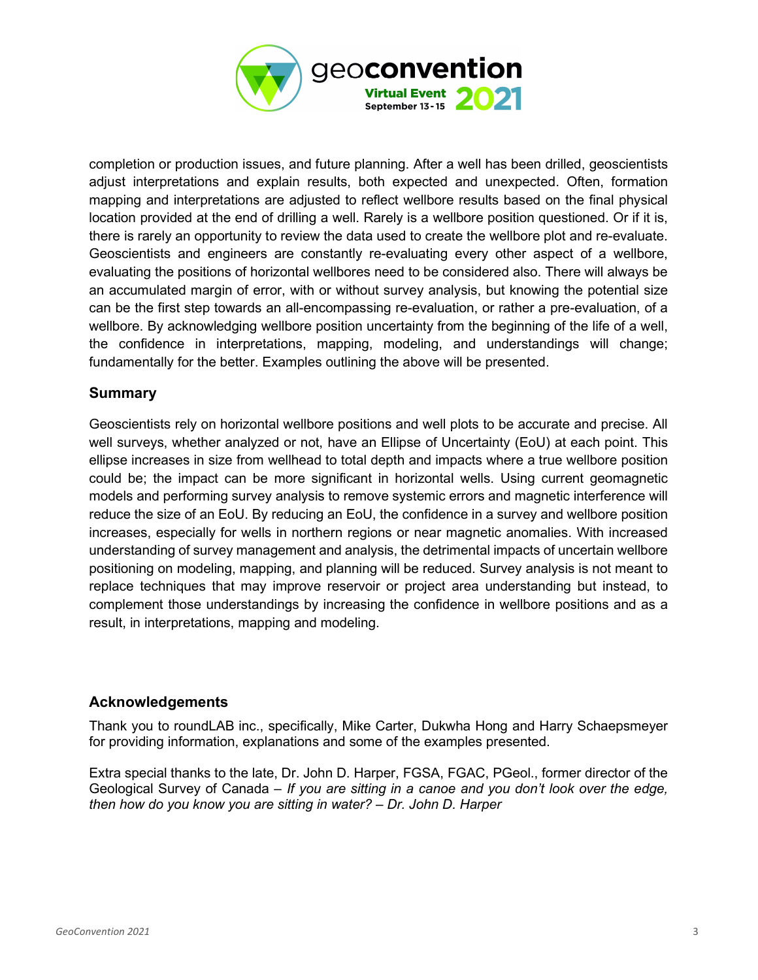

completion or production issues, and future planning. After a well has been drilled, geoscientists adjust interpretations and explain results, both expected and unexpected. Often, formation mapping and interpretations are adjusted to reflect wellbore results based on the final physical location provided at the end of drilling a well. Rarely is a wellbore position questioned. Or if it is, there is rarely an opportunity to review the data used to create the wellbore plot and re-evaluate. Geoscientists and engineers are constantly re-evaluating every other aspect of a wellbore, evaluating the positions of horizontal wellbores need to be considered also. There will always be an accumulated margin of error, with or without survey analysis, but knowing the potential size can be the first step towards an all-encompassing re-evaluation, or rather a pre-evaluation, of a wellbore. By acknowledging wellbore position uncertainty from the beginning of the life of a well, the confidence in interpretations, mapping, modeling, and understandings will change; fundamentally for the better. Examples outlining the above will be presented.

### Summary

Geoscientists rely on horizontal wellbore positions and well plots to be accurate and precise. All well surveys, whether analyzed or not, have an Ellipse of Uncertainty (EoU) at each point. This ellipse increases in size from wellhead to total depth and impacts where a true wellbore position could be; the impact can be more significant in horizontal wells. Using current geomagnetic models and performing survey analysis to remove systemic errors and magnetic interference will reduce the size of an EoU. By reducing an EoU, the confidence in a survey and wellbore position increases, especially for wells in northern regions or near magnetic anomalies. With increased understanding of survey management and analysis, the detrimental impacts of uncertain wellbore positioning on modeling, mapping, and planning will be reduced. Survey analysis is not meant to replace techniques that may improve reservoir or project area understanding but instead, to complement those understandings by increasing the confidence in wellbore positions and as a result, in interpretations, mapping and modeling.

### Acknowledgements

Thank you to roundLAB inc., specifically, Mike Carter, Dukwha Hong and Harry Schaepsmeyer for providing information, explanations and some of the examples presented.

Extra special thanks to the late, Dr. John D. Harper, FGSA, FGAC, PGeol., former director of the Geological Survey of Canada – If you are sitting in a canoe and you don't look over the edge, then how do you know you are sitting in water? – Dr. John D. Harper